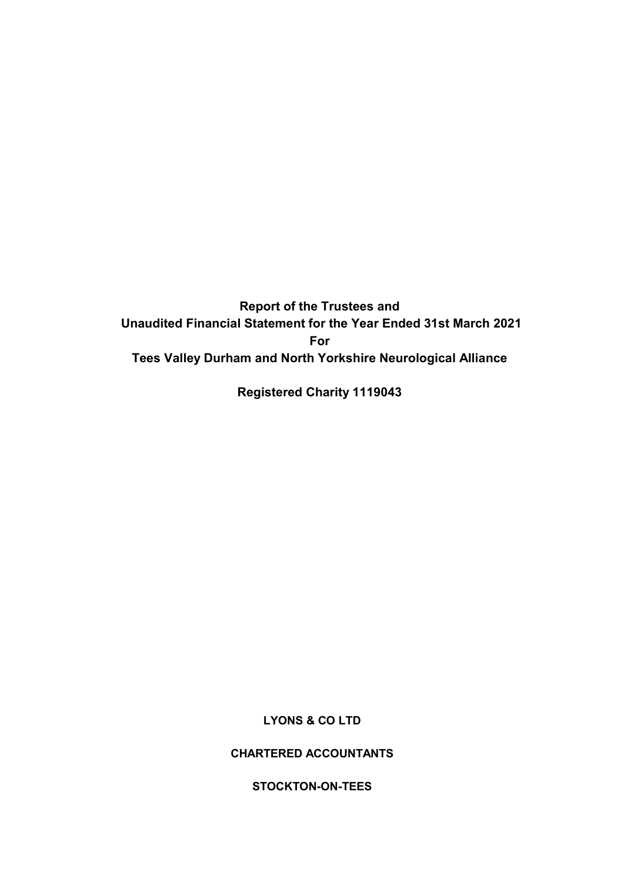Report of the Trustees and Unaudited Financial Statement for the Year Ended 31st March 2021 For Tees Valley Durham and North Yorkshire Neurological Alliance

Registered Charity 1119043

LYONS & CO LTD

CHARTERED ACCOUNTANTS

STOCKTON-ON-TEES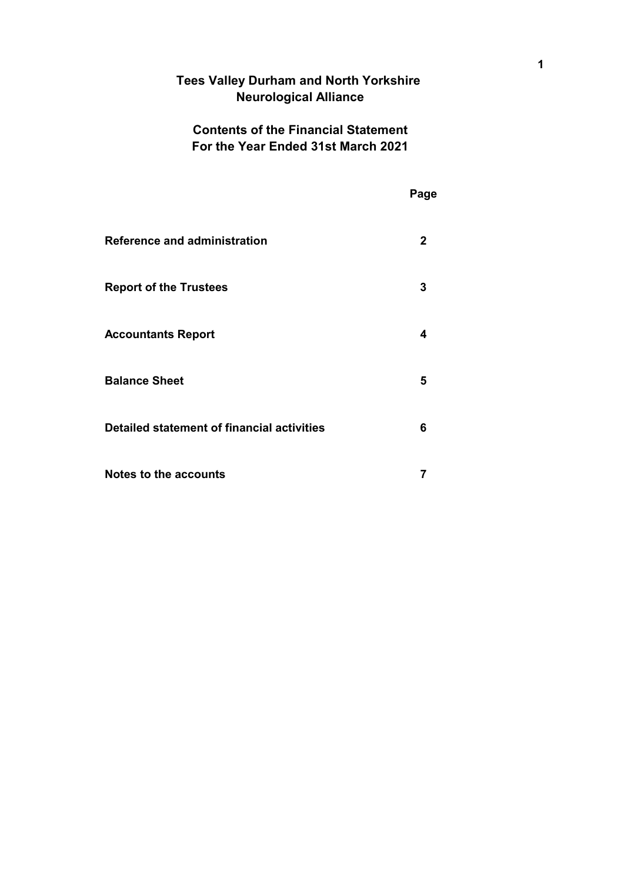# Tees Valley Durham and North Yorkshire Neurological Alliance

# Contents of the Financial Statement For the Year Ended 31st March 2021

|                                            | Page         |
|--------------------------------------------|--------------|
| <b>Reference and administration</b>        | $\mathbf{2}$ |
| <b>Report of the Trustees</b>              | 3            |
| <b>Accountants Report</b>                  | 4            |
| <b>Balance Sheet</b>                       | 5            |
| Detailed statement of financial activities | 6            |
| <b>Notes to the accounts</b>               | 7            |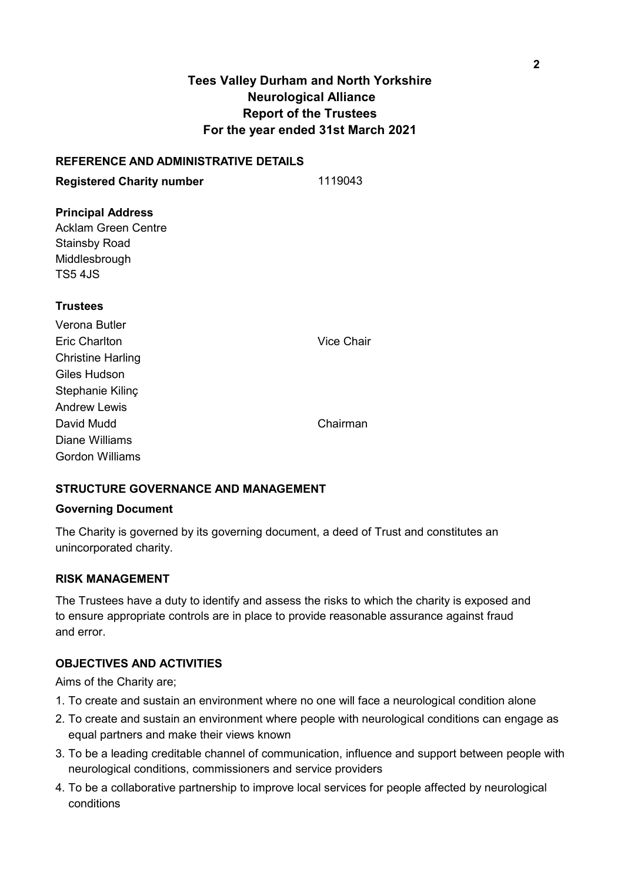# Tees Valley Durham and North Yorkshire Neurological Alliance Report of the Trustees For the year ended 31st March 2021

### REFERENCE AND ADMINISTRATIVE DETAILS

Registered Charity number 1119043

# Principal Address

Acklam Green Centre Stainsby Road Middlesbrough TS5 4JS

### **Trustees**

| Verona Butler            |                   |
|--------------------------|-------------------|
| Eric Charlton            | <b>Vice Chair</b> |
| <b>Christine Harling</b> |                   |
| Giles Hudson             |                   |
| Stephanie Kilinç         |                   |
| <b>Andrew Lewis</b>      |                   |
| David Mudd               | Chairman          |
| Diane Williams           |                   |
| Gordon Williams          |                   |

# STRUCTURE GOVERNANCE AND MANAGEMENT

### Governing Document

The Charity is governed by its governing document, a deed of Trust and constitutes an unincorporated charity.

# RISK MANAGEMENT

The Trustees have a duty to identify and assess the risks to which the charity is exposed and to ensure appropriate controls are in place to provide reasonable assurance against fraud and error.

### OBJECTIVES AND ACTIVITIES

Aims of the Charity are;

- 1. To create and sustain an environment where no one will face a neurological condition alone
- 2. To create and sustain an environment where people with neurological conditions can engage as equal partners and make their views known
- 3. To be a leading creditable channel of communication, influence and support between people with neurological conditions, commissioners and service providers
- 4. To be a collaborative partnership to improve local services for people affected by neurological conditions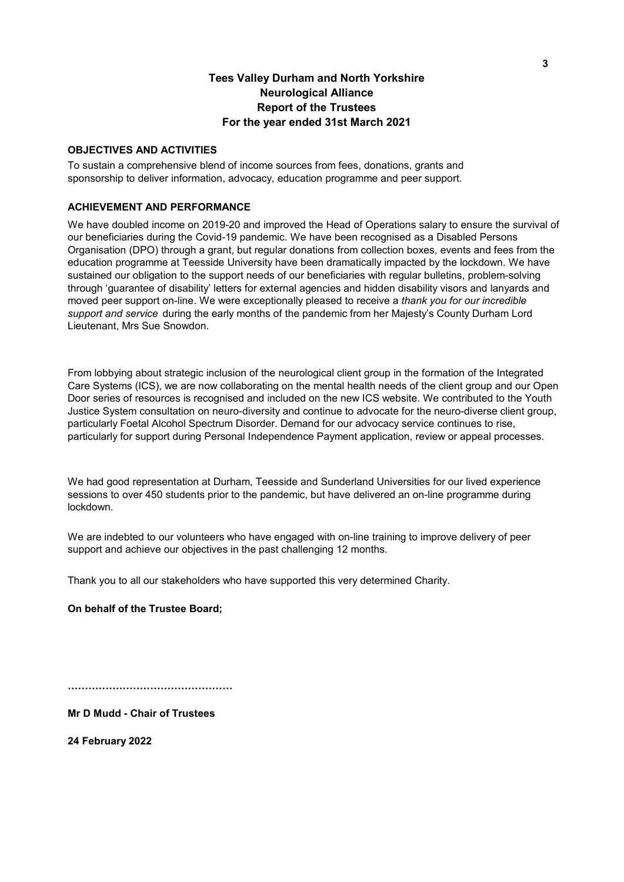## Tees Valley Durham and North Yorkshire Neurological Alliance Report of the Trustees For the year ended 31st March 2021

#### OBJECTIVES AND ACTIVITIES

To sustain a comprehensive blend of income sources from fees, donations, grants and sponsorship to deliver information, advocacy, education programme and peer support.

#### ACHIEVEMENT AND PERFORMANCE

We have doubled income on 2019-20 and improved the Head of Operations salary to ensure the survival of our beneficiaries during the Covid-19 pandemic. We have been recognised as a Disabled Persons Organisation (DPO) through a grant, but regular donations from collection boxes, events and fees from the education programme at Teesside University have been dramatically impacted by the lockdown. We have sustained our obligation to the support needs of our beneficiaries with regular bulletins, problem-solving through 'guarantee of disability' letters for external agencies and hidden disability visors and lanyards and moved peer support on-line. We were exceptionally pleased to receive a thank you for our incredible support and service during the early months of the pandemic from her Majesty's County Durham Lord Lieutenant, Mrs Sue Snowdon.

From lobbying about strategic inclusion of the neurological client group in the formation of the Integrated Care Systems (ICS), we are now collaborating on the mental health needs of the client group and our Open Door series of resources is recognised and included on the new ICS website. We contributed to the Youth Justice System consultation on neuro-diversity and continue to advocate for the neuro-diverse client group, particularly Foetal Alcohol Spectrum Disorder. Demand for our advocacy service continues to rise, particularly for support during Personal Independence Payment application, review or appeal processes.

We had good representation at Durham, Teesside and Sunderland Universities for our lived experience sessions to over 450 students prior to the pandemic, but have delivered an on-line programme during lockdown.

We are indebted to our volunteers who have engaged with on-line training to improve delivery of peer support and achieve our objectives in the past challenging 12 months.

Thank you to all our stakeholders who have supported this very determined Charity.

#### On behalf of the Trustee Board;

Mr D Mudd - Chair of Trustees

24 February 2022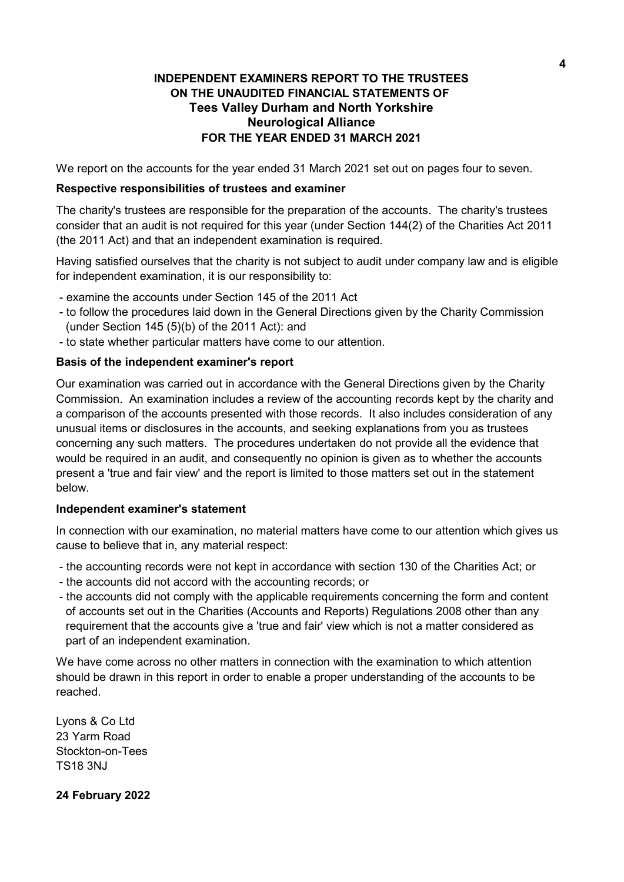# INDEPENDENT EXAMINERS REPORT TO THE TRUSTEES ON THE UNAUDITED FINANCIAL STATEMENTS OF Tees Valley Durham and North Yorkshire Neurological Alliance FOR THE YEAR ENDED 31 MARCH 2021

We report on the accounts for the year ended 31 March 2021 set out on pages four to seven.

## Respective responsibilities of trustees and examiner

The charity's trustees are responsible for the preparation of the accounts. The charity's trustees consider that an audit is not required for this year (under Section 144(2) of the Charities Act 2011 (the 2011 Act) and that an independent examination is required.

Having satisfied ourselves that the charity is not subject to audit under company law and is eligible for independent examination, it is our responsibility to:

- examine the accounts under Section 145 of the 2011 Act
- to follow the procedures laid down in the General Directions given by the Charity Commission (under Section 145 (5)(b) of the 2011 Act): and
- to state whether particular matters have come to our attention.

## Basis of the independent examiner's report

Our examination was carried out in accordance with the General Directions given by the Charity Commission. An examination includes a review of the accounting records kept by the charity and a comparison of the accounts presented with those records. It also includes consideration of any unusual items or disclosures in the accounts, and seeking explanations from you as trustees concerning any such matters. The procedures undertaken do not provide all the evidence that would be required in an audit, and consequently no opinion is given as to whether the accounts present a 'true and fair view' and the report is limited to those matters set out in the statement below.

### Independent examiner's statement

In connection with our examination, no material matters have come to our attention which gives us cause to believe that in, any material respect:

- the accounting records were not kept in accordance with section 130 of the Charities Act; or
- the accounts did not accord with the accounting records; or
- the accounts did not comply with the applicable requirements concerning the form and content of accounts set out in the Charities (Accounts and Reports) Regulations 2008 other than any requirement that the accounts give a 'true and fair' view which is not a matter considered as part of an independent examination.

We have come across no other matters in connection with the examination to which attention should be drawn in this report in order to enable a proper understanding of the accounts to be reached.

Lyons & Co Ltd 23 Yarm Road Stockton-on-Tees TS18 3NJ

### 24 February 2022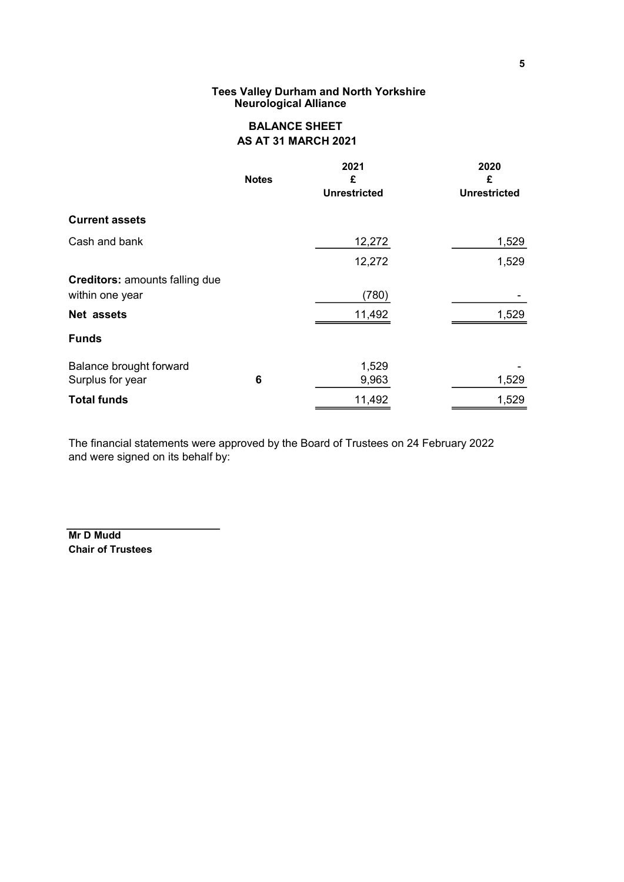#### Tees Valley Durham and North Yorkshire Neurological Alliance

# BALANCE SHEET AS AT 31 MARCH 2021

|                                                          | <b>Notes</b> | 2021<br>£<br><b>Unrestricted</b> | 2020<br>£<br><b>Unrestricted</b> |
|----------------------------------------------------------|--------------|----------------------------------|----------------------------------|
| <b>Current assets</b>                                    |              |                                  |                                  |
| Cash and bank                                            |              | 12,272                           | 1,529                            |
|                                                          |              | 12,272                           | 1,529                            |
| <b>Creditors: amounts falling due</b><br>within one year |              | (780)                            |                                  |
| Net assets                                               |              | 11,492                           | 1,529                            |
| <b>Funds</b>                                             |              |                                  |                                  |
| Balance brought forward<br>Surplus for year              | 6            | 1,529<br>9,963                   | 1,529                            |
| <b>Total funds</b>                                       |              | 11,492                           | 1,529                            |

The financial statements were approved by the Board of Trustees on 24 February 2022 and were signed on its behalf by:

Mr D Mudd Chair of Trustees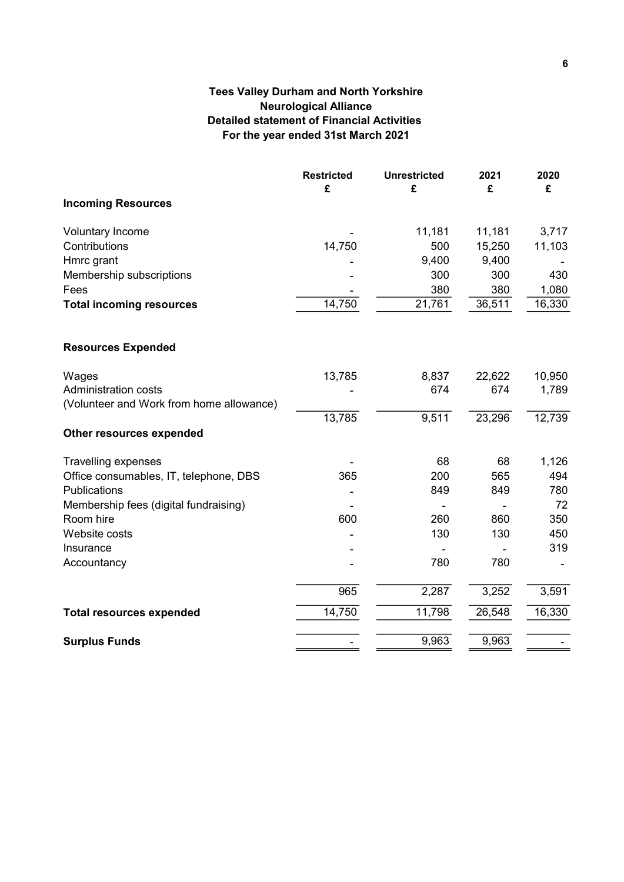# Tees Valley Durham and North Yorkshire Neurological Alliance Detailed statement of Financial Activities For the year ended 31st March 2021

|                                          | <b>Restricted</b><br>£ | <b>Unrestricted</b><br>£ | 2021<br>£ | 2020<br>£ |
|------------------------------------------|------------------------|--------------------------|-----------|-----------|
| <b>Incoming Resources</b>                |                        |                          |           |           |
| <b>Voluntary Income</b>                  |                        | 11,181                   | 11,181    | 3,717     |
| Contributions                            | 14,750                 | 500                      | 15,250    | 11,103    |
| Hmrc grant                               |                        | 9,400                    | 9,400     |           |
| Membership subscriptions                 |                        | 300                      | 300       | 430       |
| Fees                                     |                        | 380                      | 380       | 1,080     |
| <b>Total incoming resources</b>          | 14,750                 | 21,761                   | 36,511    | 16,330    |
| <b>Resources Expended</b>                |                        |                          |           |           |
| Wages                                    | 13,785                 | 8,837                    | 22,622    | 10,950    |
| <b>Administration costs</b>              |                        | 674                      | 674       | 1,789     |
| (Volunteer and Work from home allowance) |                        |                          |           |           |
|                                          | 13,785                 | 9,511                    | 23,296    | 12,739    |
| Other resources expended                 |                        |                          |           |           |
| <b>Travelling expenses</b>               |                        | 68                       | 68        | 1,126     |
| Office consumables, IT, telephone, DBS   | 365                    | 200                      | 565       | 494       |
| Publications                             |                        | 849                      | 849       | 780       |
| Membership fees (digital fundraising)    |                        |                          |           | 72        |
| Room hire                                | 600                    | 260                      | 860       | 350       |
| Website costs                            |                        | 130                      | 130       | 450       |
| Insurance                                |                        |                          |           | 319       |
| Accountancy                              |                        | 780                      | 780       |           |
|                                          | 965                    | 2,287                    | 3,252     | 3,591     |
| <b>Total resources expended</b>          | 14,750                 | 11,798                   | 26,548    | 16,330    |
| <b>Surplus Funds</b>                     |                        | 9,963                    | 9,963     |           |